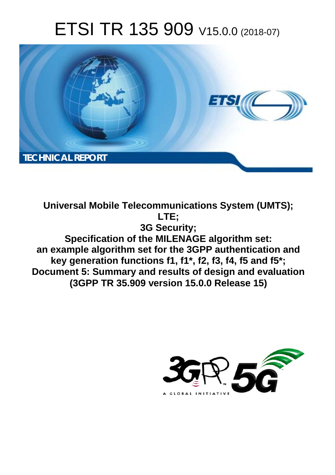# ETSI TR 135 909 V15.0.0 (2018-07)



**Universal Mobile Telecommunications System (UMTS); LTE; 3G Security; Specification of the MILENAGE algorithm set: an example algorithm set for the 3GPP authentication and key generation functions f1, f1\*, f2, f3, f4, f5 and f5\*; Document 5: Summary and results of design and evaluation (3GPP TR 35.909 version 15.0.0 Release 15)** 

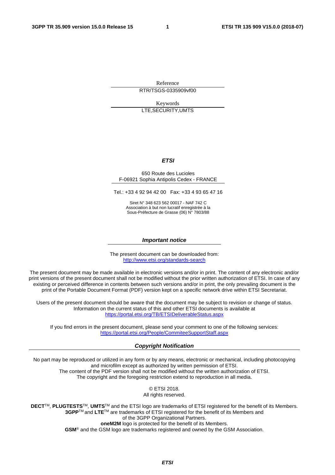Reference RTR/TSGS-0335909vf00

Keywords LTE,SECURITY,UMTS

#### *ETSI*

#### 650 Route des Lucioles F-06921 Sophia Antipolis Cedex - FRANCE

Tel.: +33 4 92 94 42 00 Fax: +33 4 93 65 47 16

Siret N° 348 623 562 00017 - NAF 742 C Association à but non lucratif enregistrée à la Sous-Préfecture de Grasse (06) N° 7803/88

#### *Important notice*

The present document can be downloaded from: <http://www.etsi.org/standards-search>

The present document may be made available in electronic versions and/or in print. The content of any electronic and/or print versions of the present document shall not be modified without the prior written authorization of ETSI. In case of any existing or perceived difference in contents between such versions and/or in print, the only prevailing document is the print of the Portable Document Format (PDF) version kept on a specific network drive within ETSI Secretariat.

Users of the present document should be aware that the document may be subject to revision or change of status. Information on the current status of this and other ETSI documents is available at <https://portal.etsi.org/TB/ETSIDeliverableStatus.aspx>

If you find errors in the present document, please send your comment to one of the following services: <https://portal.etsi.org/People/CommiteeSupportStaff.aspx>

#### *Copyright Notification*

No part may be reproduced or utilized in any form or by any means, electronic or mechanical, including photocopying and microfilm except as authorized by written permission of ETSI. The content of the PDF version shall not be modified without the written authorization of ETSI. The copyright and the foregoing restriction extend to reproduction in all media.

> © ETSI 2018. All rights reserved.

**DECT**TM, **PLUGTESTS**TM, **UMTS**TM and the ETSI logo are trademarks of ETSI registered for the benefit of its Members. **3GPP**TM and **LTE**TM are trademarks of ETSI registered for the benefit of its Members and of the 3GPP Organizational Partners. **oneM2M** logo is protected for the benefit of its Members.

**GSM**® and the GSM logo are trademarks registered and owned by the GSM Association.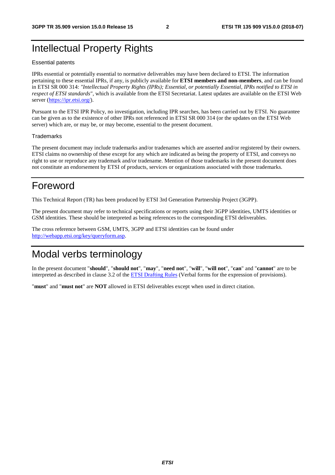# Intellectual Property Rights

#### Essential patents

IPRs essential or potentially essential to normative deliverables may have been declared to ETSI. The information pertaining to these essential IPRs, if any, is publicly available for **ETSI members and non-members**, and can be found in ETSI SR 000 314: *"Intellectual Property Rights (IPRs); Essential, or potentially Essential, IPRs notified to ETSI in respect of ETSI standards"*, which is available from the ETSI Secretariat. Latest updates are available on the ETSI Web server ([https://ipr.etsi.org/\)](https://ipr.etsi.org/).

Pursuant to the ETSI IPR Policy, no investigation, including IPR searches, has been carried out by ETSI. No guarantee can be given as to the existence of other IPRs not referenced in ETSI SR 000 314 (or the updates on the ETSI Web server) which are, or may be, or may become, essential to the present document.

#### **Trademarks**

The present document may include trademarks and/or tradenames which are asserted and/or registered by their owners. ETSI claims no ownership of these except for any which are indicated as being the property of ETSI, and conveys no right to use or reproduce any trademark and/or tradename. Mention of those trademarks in the present document does not constitute an endorsement by ETSI of products, services or organizations associated with those trademarks.

# Foreword

This Technical Report (TR) has been produced by ETSI 3rd Generation Partnership Project (3GPP).

The present document may refer to technical specifications or reports using their 3GPP identities, UMTS identities or GSM identities. These should be interpreted as being references to the corresponding ETSI deliverables.

The cross reference between GSM, UMTS, 3GPP and ETSI identities can be found under [http://webapp.etsi.org/key/queryform.asp.](http://webapp.etsi.org/key/queryform.asp)

# Modal verbs terminology

In the present document "**should**", "**should not**", "**may**", "**need not**", "**will**", "**will not**", "**can**" and "**cannot**" are to be interpreted as described in clause 3.2 of the [ETSI Drafting Rules](https://portal.etsi.org/Services/editHelp!/Howtostart/ETSIDraftingRules.aspx) (Verbal forms for the expression of provisions).

"**must**" and "**must not**" are **NOT** allowed in ETSI deliverables except when used in direct citation.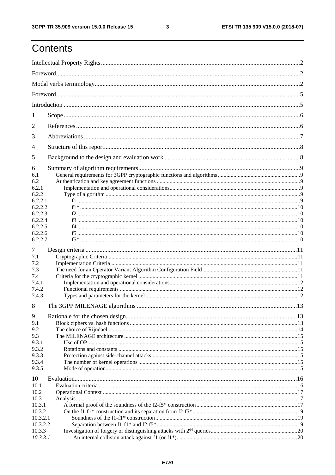# Contents

| 1              |  |
|----------------|--|
| 2              |  |
| 3              |  |
| $\overline{4}$ |  |
| 5              |  |
| 6              |  |
| 6.1<br>6.2     |  |
| 6.2.1          |  |
| 6.2.2          |  |
| 6.2.2.1        |  |
| 6.2.2.2        |  |
| 6.2.2.3        |  |
| 6.2.2.4        |  |
| 6.2.2.5        |  |
| 6.2.2.6        |  |
| 6.2.2.7        |  |
|                |  |
| 7              |  |
| 7.1            |  |
| 7.2            |  |
| 7.3            |  |
| 7.4            |  |
| 7.4.1          |  |
| 7.4.2          |  |
| 7.4.3          |  |
| 8              |  |
| 9              |  |
| 9.1            |  |
|                |  |
| 9.2            |  |
| 9.3            |  |
| 9.3.1          |  |
| 9.3.2          |  |
| 9.3.3          |  |
| 9.3.4          |  |
| 9.3.5          |  |
| 10             |  |
| 10.1           |  |
| 10.2           |  |
| 10.3           |  |
| 10.3.1         |  |
| 10.3.2         |  |
| 10.3.2.1       |  |
| 10.3.2.2       |  |
| 10.3.3         |  |
| 10.3.3.1       |  |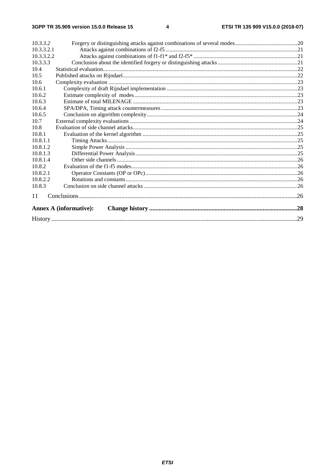| 10.3.3.2   |                               |  |  |  |  |  |  |  |
|------------|-------------------------------|--|--|--|--|--|--|--|
| 10.3.3.2.1 |                               |  |  |  |  |  |  |  |
| 10.3.3.2.2 |                               |  |  |  |  |  |  |  |
| 10.3.3.3   |                               |  |  |  |  |  |  |  |
| 10.4       |                               |  |  |  |  |  |  |  |
| 10.5       |                               |  |  |  |  |  |  |  |
| 10.6       |                               |  |  |  |  |  |  |  |
| 10.6.1     |                               |  |  |  |  |  |  |  |
| 10.6.2     |                               |  |  |  |  |  |  |  |
| 10.6.3     |                               |  |  |  |  |  |  |  |
| 10.6.4     |                               |  |  |  |  |  |  |  |
| 10.6.5     |                               |  |  |  |  |  |  |  |
| 10.7       |                               |  |  |  |  |  |  |  |
| 10.8       |                               |  |  |  |  |  |  |  |
| 10.8.1     |                               |  |  |  |  |  |  |  |
| 10.8.1.1   |                               |  |  |  |  |  |  |  |
| 10.8.1.2   |                               |  |  |  |  |  |  |  |
| 10.8.1.3   |                               |  |  |  |  |  |  |  |
| 10.8.1.4   |                               |  |  |  |  |  |  |  |
| 10.8.2     |                               |  |  |  |  |  |  |  |
| 10.8.2.1   |                               |  |  |  |  |  |  |  |
| 10.8.2.2   |                               |  |  |  |  |  |  |  |
| 10.8.3     |                               |  |  |  |  |  |  |  |
| 11         |                               |  |  |  |  |  |  |  |
|            | <b>Annex A (informative):</b> |  |  |  |  |  |  |  |
|            |                               |  |  |  |  |  |  |  |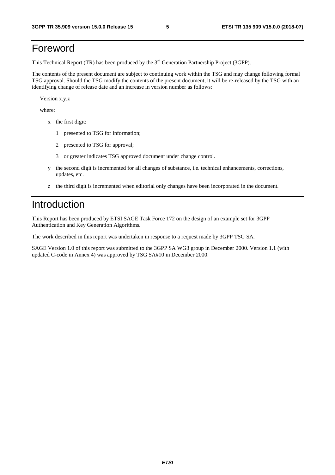# Foreword

This Technical Report (TR) has been produced by the 3<sup>rd</sup> Generation Partnership Project (3GPP).

The contents of the present document are subject to continuing work within the TSG and may change following formal TSG approval. Should the TSG modify the contents of the present document, it will be re-released by the TSG with an identifying change of release date and an increase in version number as follows:

Version x.y.z

where:

- x the first digit:
	- 1 presented to TSG for information;
	- 2 presented to TSG for approval;
	- 3 or greater indicates TSG approved document under change control.
- y the second digit is incremented for all changes of substance, i.e. technical enhancements, corrections, updates, etc.
- z the third digit is incremented when editorial only changes have been incorporated in the document.

# Introduction

This Report has been produced by ETSI SAGE Task Force 172 on the design of an example set for 3GPP Authentication and Key Generation Algorithms.

The work described in this report was undertaken in response to a request made by 3GPP TSG SA.

SAGE Version 1.0 of this report was submitted to the 3GPP SA WG3 group in December 2000. Version 1.1 (with updated C-code in Annex 4) was approved by TSG SA#10 in December 2000.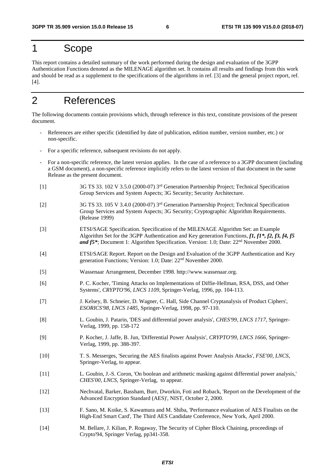# 1 Scope

This report contains a detailed summary of the work performed during the design and evaluation of the 3GPP Authentication Functions denoted as the MILENAGE algorithm set. It contains all results and findings from this work and should be read as a supplement to the specifications of the algorithms in ref. [3] and the general project report, ref. [4].

# 2 References

The following documents contain provisions which, through reference in this text, constitute provisions of the present document.

- References are either specific (identified by date of publication, edition number, version number, etc.) or non-specific.
- For a specific reference, subsequent revisions do not apply.
- For a non-specific reference, the latest version applies. In the case of a reference to a 3GPP document (including a GSM document), a non-specific reference implicitly refers to the latest version of that document in the same Release as the present document.
- [1] 3G TS 33. 102 V 3.5.0 (2000-07) 3rd Generation Partnership Project; Technical Specification Group Services and System Aspects; 3G Security; Security Architecture.
- [2] 3G TS 33. 105 V 3.4.0 (2000-07) 3rd Generation Partnership Project; Technical Specification Group Services and System Aspects; 3G Security; Cryptographic Algorithm Requirements. (Release 1999)
- [3] ETSI/SAGE Specification. Specification of the MILENAGE Algorithm Set: an Example Algorithm Set for the 3GPP Authentication and Key generation Functions, *f1, f1\*, f2, f3, f4, f5 and f5\**; Document 1: Algorithm Specification. Version: 1.0; Date: 22nd November 2000.
- [4] ETSI/SAGE Report. Report on the Design and Evaluation of the 3GPP Authentication and Key generation Functions; Version: 1.0; Date: 22nd November 2000.
- [5] Wassenaar Arrangement, December 1998. http://www.wassenaar.org.
- [6] P. C. Kocher, 'Timing Attacks on Implementations of Diffie-Hellman, RSA, DSS, and Other Systems', *CRYPTO'96, LNCS 1109*, Springer-Verlag, 1996, pp. 104-113.
- [7] J. Kelsey, B. Schneier, D. Wagner, C. Hall, Side Channel Cryptanalysis of Product Ciphers', *ESORICS'98, LNCS 1485,* Springer-Verlag, 1998, pp. 97-110.
- [8] L. Goubin, J. Patarin, 'DES and differential power analysis', *CHES'99, LNCS 1717*, Springer-Verlag, 1999, pp. 158-172
- [9] P. Kocher, J. Jaffe, B. Jun, 'Differential Power Analysis', *CRYPTO'99, LNCS 1666,* Springer-Verlag, 1999, pp. 388-397.
- [10] T. S. Messerges, 'Securing the AES finalists against Power Analysis Attacks', *FSE'00, LNCS,* Springer-Verlag, to appear.
- [11] L. Goubin, J.-S. Coron, 'On boolean and arithmetic masking against differential power analysis,' *CHES'00, LNCS,* Springer-Verlag, to appear.
- [12] Nechvatal, Barker, Bassham, Burr, Dworkin, Foti and Roback, 'Report on the Development of the Advanced Encryption Standard (AES)', NIST, October 2, 2000.
- [13] F. Sano, M. Koike, S. Kawamura and M. Shiba, 'Performance evaluation of AES Finalists on the High-End Smart Card', The Third AES Candidate Conference, New York, April 2000.
- [14] M. Bellare, J. Kilian, P. Rogaway, The Security of Cipher Block Chaining, proceedings of Crypto'94, Springer Verlag, pp341-358.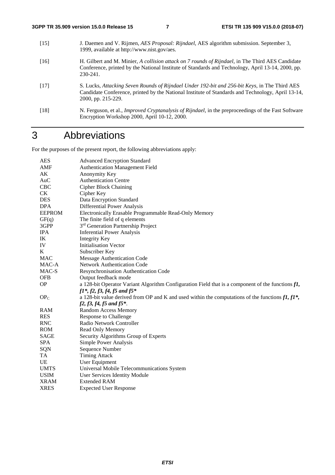- [15] J. Daemen and V. Rijmen, *AES Proposal: Rijndael*, AES algorithm submission. September 3, 1999, available at http://www.nist.gov/aes. [16] H. Gilbert and M. Minier, *A collision attack on 7 rounds of Rijndael*, in The Third AES Candidate Conference, printed by the National Institute of Standards and Technology, April 13-14, 2000, pp. 230-241.
- [17] S. Lucks, *Attacking Seven Rounds of Rijndael Under 192-bit and 256-bit Keys,* in The Third AES Candidate Conference, printed by the National Institute of Standards and Technology, April 13-14, 2000, pp. 215-229.
- [18] N. Ferguson, et al., *Improved Cryptanalysis of Rijndael*, in the preproceedings of the Fast Software Encryption Workshop 2000, April 10-12, 2000.

# 3 Abbreviations

For the purposes of the present report, the following abbreviations apply:

| <b>AES</b>      | <b>Advanced Encryption Standard</b>                                                                           |
|-----------------|---------------------------------------------------------------------------------------------------------------|
| AMF             | <b>Authentication Management Field</b>                                                                        |
| AK              | Anonymity Key                                                                                                 |
| AuC             | <b>Authentication Centre</b>                                                                                  |
| CBC             | <b>Cipher Block Chaining</b>                                                                                  |
| CK              | Cipher Key                                                                                                    |
| <b>DES</b>      | Data Encryption Standard                                                                                      |
| <b>DPA</b>      | Differential Power Analysis                                                                                   |
| <b>EEPROM</b>   | Electronically Erasable Programmable Read-Only Memory                                                         |
| GF(q)           | The finite field of q elements                                                                                |
| 3GPP            | 3 <sup>rd</sup> Generation Partnership Project                                                                |
| <b>IPA</b>      | <b>Inferential Power Analysis</b>                                                                             |
| IK              | <b>Integrity Key</b>                                                                                          |
| IV              | <b>Initialisation Vector</b>                                                                                  |
| K               | Subscriber Key                                                                                                |
| <b>MAC</b>      | Message Authentication Code                                                                                   |
| MAC-A           | Network Authentication Code                                                                                   |
| MAC-S           | Resynchronisation Authentication Code                                                                         |
| <b>OFB</b>      | Output feedback mode                                                                                          |
| <b>OP</b>       | a 128-bit Operator Variant Algorithm Configuration Field that is a component of the functions $f\mathbf{I}$ , |
|                 | $f1^*, f2, f3, f4, f5$ and $f5^*$                                                                             |
| OP <sub>C</sub> | a 128-bit value derived from OP and K and used within the computations of the functions $f1, f1^*$ ,          |
|                 | $f2, f3, f4, f5$ and $f5$ *.                                                                                  |
| RAM             | Random Access Memory                                                                                          |
| <b>RES</b>      | <b>Response to Challenge</b>                                                                                  |
| <b>RNC</b>      | Radio Network Controller                                                                                      |
| <b>ROM</b>      | Read Only Memory                                                                                              |
| <b>SAGE</b>     | Security Algorithms Group of Experts                                                                          |
| <b>SPA</b>      | Simple Power Analysis                                                                                         |
| SQN             | Sequence Number                                                                                               |
| TA              | <b>Timing Attack</b>                                                                                          |
| UE              | User Equipment                                                                                                |
| <b>UMTS</b>     | Universal Mobile Telecommunications System                                                                    |
| <b>USIM</b>     | User Services Identity Module                                                                                 |
| <b>XRAM</b>     | <b>Extended RAM</b>                                                                                           |
| <b>XRES</b>     | <b>Expected User Response</b>                                                                                 |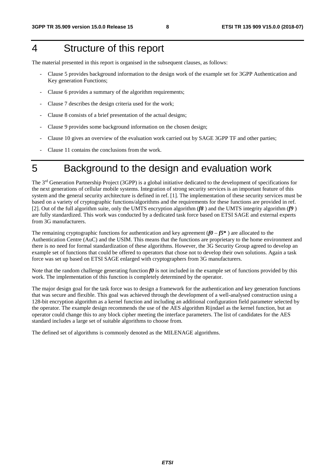# 4 Structure of this report

The material presented in this report is organised in the subsequent clauses, as follows:

- Clause 5 provides background information to the design work of the example set for 3GPP Authentication and Key generation Functions;
- Clause 6 provides a summary of the algorithm requirements;
- Clause 7 describes the design criteria used for the work;
- Clause 8 consists of a brief presentation of the actual designs;
- Clause 9 provides some background information on the chosen design;
- Clause 10 gives an overview of the evaluation work carried out by SAGE 3GPP TF and other parties;
- Clause 11 contains the conclusions from the work.

# 5 Background to the design and evaluation work

The 3rd Generation Partnership Project (3GPP) is a global initiative dedicated to the development of specifications for the next generations of cellular mobile systems. Integration of strong security services is an important feature of this system and the general security architecture is defined in ref. [1]. The implementation of these security services must be based on a variety of cryptographic functions/algorithms and the requirements for these functions are provided in ref. [2]. Out of the full algorithm suite, only the UMTS encryption algorithm (*f8* ) and the UMTS integrity algorithm (*f9* ) are fully standardized. This work was conducted by a dedicated task force based on ETSI SAGE and external experts from 3G manufacturers.

The remaining cryptographic functions for authentication and key agreement  $(f0 - f5^*)$  are allocated to the Authentication Centre (AuC) and the USIM. This means that the functions are proprietary to the home environment and there is no need for formal standardization of these algorithms. However, the 3G Security Group agreed to develop an example set of functions that could be offered to operators that chose not to develop their own solutions. Again a task force was set up based on ETSI SAGE enlarged with cryptographers from 3G manufacturers.

Note that the random challenge generating function  $f\theta$  is not included in the example set of functions provided by this work. The implementation of this function is completely determined by the operator.

The major design goal for the task force was to design a framework for the authentication and key generation functions that was secure and flexible. This goal was achieved through the development of a well-analysed construction using a 128-bit encryption algorithm as a kernel function and including an additional configuration field parameter selected by the operator. The example design recommends the use of the AES algorithm Rijndael as the kernel function, but an operator could change this to any block cipher meeting the interface parameters. The list of candidates for the AES standard includes a large set of suitable algorithms to choose from.

The defined set of algorithms is commonly denoted as the MILENAGE algorithms.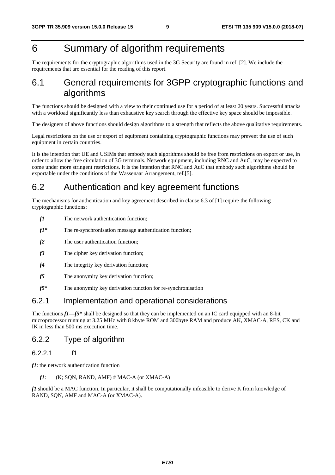# 6 Summary of algorithm requirements

The requirements for the cryptographic algorithms used in the 3G Security are found in ref. [2]. We include the requirements that are essential for the reading of this report.

### 6.1 General requirements for 3GPP cryptographic functions and algorithms

The functions should be designed with a view to their continued use for a period of at least 20 years. Successful attacks with a workload significantly less than exhaustive key search through the effective key space should be impossible.

The designers of above functions should design algorithms to a strength that reflects the above qualitative requirements.

Legal restrictions on the use or export of equipment containing cryptographic functions may prevent the use of such equipment in certain countries.

It is the intention that UE and USIMs that embody such algorithms should be free from restrictions on export or use, in order to allow the free circulation of 3G terminals. Network equipment, including RNC and AuC, may be expected to come under more stringent restrictions. It is the intention that RNC and AuC that embody such algorithms should be exportable under the conditions of the Wassenaar Arrangement, ref.[5].

### 6.2 Authentication and key agreement functions

The mechanisms for authentication and key agreement described in clause 6.3 of [1] require the following cryptographic functions:

- *f1* The network authentication function;
- *f1\** The re-synchronisation message authentication function;
- *f2* The user authentication function;
- *f3* The cipher key derivation function:
- *f4* The integrity key derivation function:
- *f5* The anonymity key derivation function;
- *f5***\*** The anonymity key derivation function for re-synchronisation

### 6.2.1 Implementation and operational considerations

The functions *f1—f5***\*** shall be designed so that they can be implemented on an IC card equipped with an 8-bit microprocessor running at 3.25 MHz with 8 kbyte ROM and 300byte RAM and produce AK, XMAC-A, RES, CK and IK in less than 500 ms execution time.

#### 6.2.2 Type of algorithm

#### 6.2.2.1 f1

*f1*: the network authentication function

 $f1:$  (K; SQN, RAND, AMF)  $\#$  MAC-A (or XMAC-A)

*f1* should be a MAC function. In particular, it shall be computationally infeasible to derive K from knowledge of RAND, SQN, AMF and MAC-A (or XMAC-A).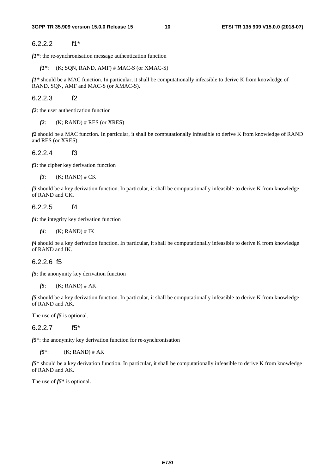#### 6.2.2.2 f1\*

*f1\**: the re-synchronisation message authentication function

*f1\**: (K; SQN, RAND, AMF) # MAC-S (or XMAC-S)

*f1\** should be a MAC function. In particular, it shall be computationally infeasible to derive K from knowledge of RAND, SQN, AMF and MAC-S (or XMAC-S).

6.2.2.3 f2

*f2*: the user authentication function

 $f2$ : (K; RAND) # RES (or XRES)

*f2* should be a MAC function. In particular, it shall be computationally infeasible to derive K from knowledge of RAND and RES (or XRES).

6.2.2.4 f3

*f3*: the cipher key derivation function

 $f3$ :  $(K; RAND)$  # CK

*f3* should be a key derivation function. In particular, it shall be computationally infeasible to derive K from knowledge of RAND and CK.

6.2.2.5 f4

*f4*: the integrity key derivation function

 $f4$ : (K; RAND) # IK

*f4* should be a key derivation function. In particular, it shall be computationally infeasible to derive K from knowledge of RAND and IK.

#### 6.2.2.6 f5

*f5*: the anonymity key derivation function

*f5*: (K; RAND) # AK

*f5* should be a key derivation function. In particular, it shall be computationally infeasible to derive K from knowledge of RAND and AK.

The use of *f5* is optional.

6.2.2.7 f5\*

*f5*\*: the anonymity key derivation function for re-synchronisation

*f* $5^*$ : (K; RAND) # AK

*f5*\* should be a key derivation function. In particular, it shall be computationally infeasible to derive K from knowledge of RAND and AK.

The use of *f5***\*** is optional.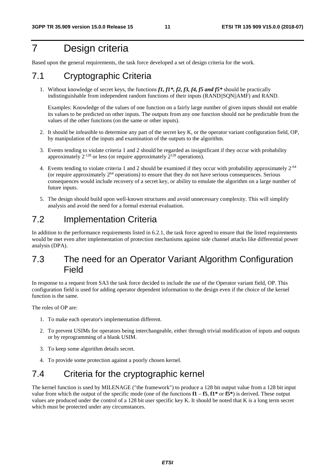# 7 Design criteria

Based upon the general requirements, the task force developed a set of design criteria for the work.

# 7.1 Cryptographic Criteria

1. Without knowledge of secret keys, the functions *f1, f1\*, f2, f3, f4, f5 and f5\** should be practically indistinguishable from independent random functions of their inputs (RAND||SQN||AMF) and RAND.

 Examples: Knowledge of the values of one function on a fairly large number of given inputs should not enable its values to be predicted on other inputs. The outputs from any one function should not be predictable from the values of the other functions (on the same or other inputs).

- 2. It should be infeasible to determine any part of the secret key K, or the operator variant configuration field, OP, by manipulation of the inputs and examination of the outputs to the algorithm.
- 3. Events tending to violate criteria 1 and 2 should be regarded as insignificant if they occur with probability approximately  $2^{-128}$  or less (or require approximately  $2^{128}$  operations).
- 4. Events tending to violate criteria 1 and 2 should be examined if they occur with probability approximately 2-64 (or require approximately  $2^{64}$  operations) to ensure that they do not have serious consequences. Serious consequences would include recovery of a secret key, or ability to emulate the algorithm on a large number of future inputs.
- 5. The design should build upon well-known structures and avoid unnecessary complexity. This will simplify analysis and avoid the need for a formal external evaluation.

### 7.2 Implementation Criteria

In addition to the performance requirements listed in 6.2.1, the task force agreed to ensure that the listed requirements would be met even after implementation of protection mechanisms against side channel attacks like differential power analysis (DPA).

### 7.3 The need for an Operator Variant Algorithm Configuration Field

In response to a request from SA3 the task force decided to include the use of the Operator variant field, OP. This configuration field is used for adding operator dependent information to the design even if the choice of the kernel function is the same.

The roles of OP are:

- 1. To make each operator's implementation different.
- 2. To prevent USIMs for operators being interchangeable, either through trivial modification of inputs and outputs or by reprogramming of a blank USIM.
- 3. To keep some algorithm details secret.
- 4. To provide some protection against a poorly chosen kernel.

# 7.4 Criteria for the cryptographic kernel

The kernel function is used by MILENAGE ("the framework") to produce a 128 bit output value from a 128 bit input value from which the output of the specific mode (one of the functions  $f1 - f5$ ,  $f1^*$  or  $f5^*$ ) is derived. These output values are produced under the control of a 128 bit user specific key K. It should be noted that K is a long term secret which must be protected under any circumstances.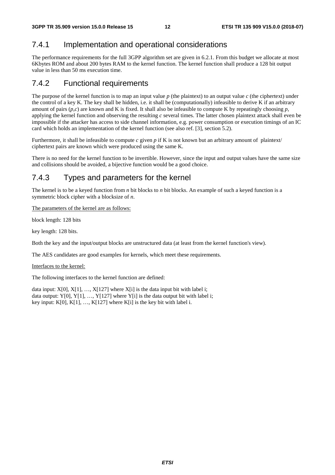### 7.4.1 Implementation and operational considerations

The performance requirements for the full 3GPP algorithm set are given in 6.2.1. From this budget we allocate at most 6Kbytes ROM and about 200 bytes RAM to the kernel function. The kernel function shall produce a 128 bit output value in less than 50 ms execution time.

### 7.4.2 Functional requirements

The purpose of the kernel function is to map an input value  $p$  (the plaintext) to an output value  $c$  (the ciphertext) under the control of a key K. The key shall be hidden, i.e. it shall be (computationally) infeasible to derive K if an arbitrary amount of pairs  $(p, c)$  are known and K is fixed. It shall also be infeasible to compute K by repeatingly choosing  $p$ , applying the kernel function and observing the resulting *c* several times. The latter chosen plaintext attack shall even be impossible if the attacker has access to side channel information, e.g. power consumption or execution timings of an IC card which holds an implementation of the kernel function (see also ref. [3], section 5.2).

Furthermore, it shall be infeasible to compute  $c$  given  $p$  if K is not known but an arbitrary amount of plaintext/ ciphertext pairs are known which were produced using the same K.

There is no need for the kernel function to be invertible. However, since the input and output values have the same size and collisions should be avoided, a bijective function would be a good choice.

### 7.4.3 Types and parameters for the kernel

The kernel is to be a keyed function from *n* bit blocks to *n* bit blocks. An example of such a keyed function is a symmetric block cipher with a blocksize of *n*.

The parameters of the kernel are as follows:

block length: 128 bits

key length: 128 bits.

Both the key and the input/output blocks are unstructured data (at least from the kernel function's view).

The AES candidates are good examples for kernels, which meet these requirements.

Interfaces to the kernel:

The following interfaces to the kernel function are defined:

data input:  $X[0], X[1], ..., X[127]$  where  $X[i]$  is the data input bit with label i; data output: Y[0], Y[1], ..., Y[127] where Y[i] is the data output bit with label i; key input:  $K[0], K[1], ..., K[127]$  where  $K[i]$  is the key bit with label i.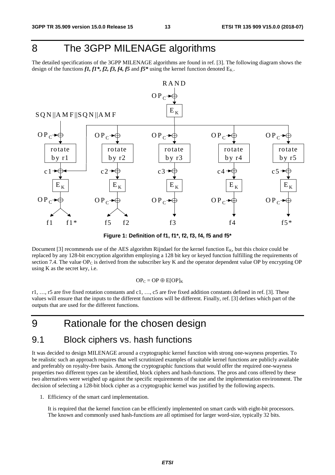# 8 The 3GPP MILENAGE algorithms

The detailed specifications of the 3GPP MILENAGE algorithms are found in ref. [3]. The following diagram shows the design of the functions  $f1, f1^*, f2, f3, f4, f5$  and  $f5^*$  using the kernel function denoted  $E_K$ .



**Figure 1: Definition of f1, f1\*, f2, f3, f4, f5 and f5\*** 

Document [3] recommends use of the AES algorithm Rijndael for the kernel function  $E_K$ , but this choice could be replaced by any 128-bit encryption algorithm employing a 128 bit key or keyed function fulfilling the requirements of section 7.4. The value OP<sub>C</sub> is derived from the subscriber key K and the operator dependent value OP by encrypting OP using  $K$  as the secret key, i.e.

 $OP_C = OP \oplus E[OP]_K$ 

r1, …, r5 are five fixed rotation constants and c1, …, c5 are five fixed addition constants defined in ref. [3]. These values will ensure that the inputs to the different functions will be different. Finally, ref. [3] defines which part of the outputs that are used for the different functions.

# 9 Rationale for the chosen design

### 9.1 Block ciphers vs. hash functions

It was decided to design MILENAGE around a cryptographic kernel function with strong one-wayness properties. To be realistic such an approach requires that well scrutinized examples of suitable kernel functions are publicly available and preferably on royalty-free basis. Among the cryptographic functions that would offer the required one-wayness properties two different types can be identified, block ciphers and hash-functions. The pros and cons offered by these two alternatives were weighed up against the specific requirements of the use and the implementation environment. The decision of selecting a 128-bit block cipher as a cryptographic kernel was justified by the following aspects.

1. Efficiency of the smart card implementation.

 It is required that the kernel function can be efficiently implemented on smart cards with eight-bit processors. The known and commonly used hash-functions are all optimised for larger word-size, typically 32 bits.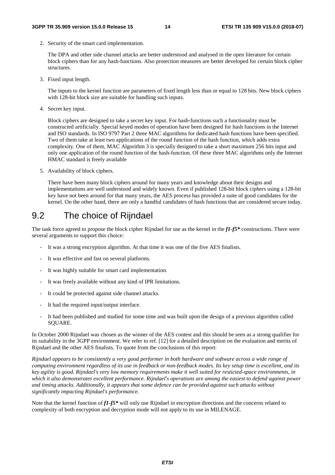2. Security of the smart card implementation.

 The DPA and other side channel attacks are better understood and analysed in the open literature for certain block ciphers than for any hash-functions. Also protection measures are better developed for certain block cipher structures.

3. Fixed input length.

 The inputs to the kernel function are parameters of fixed length less than or equal to 128 bits. New block ciphers with 128-bit block size are suitable for handling such inputs.

4. Secret key input.

 Block ciphers are designed to take a secret key input. For hash-functions such a functionality must be constructed artificially. Special keyed modes of operation have been designed for hash functions in the Internet and ISO standards. In ISO 9797 Part 2 three MAC algorithms for dedicated hash functions have been specified. Two of them take at least two applications of the round function of the hash function, which adds extra complexity. One of them, MAC Algorithm 3 is specially designed to take a short maximum 256 bits input and only one application of the round function of the hash-function. Of these three MAC algorithms only the Internet HMAC standard is freely available

5. Availability of block ciphers.

 There have been many block ciphers around for many years and knowledge about their designs and implementations are well understood and widely known. Even if published 128-bit block ciphers using a 128-bit key have not been around for that many years, the AES process has provided a suite of good candidates for the kernel. On the other hand, there are only a handful candidates of hash functions that are considered secure today.

### 9.2 The choice of Rijndael

The task force agreed to propose the block cipher Rijndael for use as the kernel in the *f1-f5\** constructions. There were several arguments to support this choice:

- It was a strong encryption algorithm. At that time it was one of the five AES finalists.
- It was effective and fast on several platforms.
- It was highly suitable for smart card implementation.
- It was freely available without any kind of IPR limitations.
- It could be protected against side channel attacks.
- It had the required input/output interface.
- It had been published and studied for some time and was built upon the design of a previous algorithm called SQUARE.

In October 2000 Rijndael was chosen as the winner of the AES contest and this should be seen as a strong qualifier for its suitability in the 3GPP environment. We refer to ref. [12] for a detailed description on the evaluation and merits of Rijndael and the other AES finalists. To quote from the conclusions of this report:

*Rijndael appears to be consistently a very good performer in both hardware and software across a wide range of computing environment regardless of its use in feedback or non-feedback modes. Its key setup time is excellent, and its key agility is good. Rijndael's very low memory requirements make it well suited for resticted-space environments, in which it also demonstrates excellent performance. Rijndael's operations are among the easiest to defend against power and timing attacks. Additionally, it appears that some defence can be provided against such attacks without significantly impacting Rijndael's performance.* 

Note that the kernel function of *f1-f5\** will only use Rijndael in encryption directions and the concerns related to complexity of both encryption and decryption mode will not apply to its use in MILENAGE.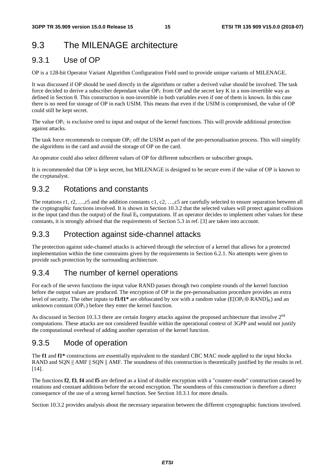# 9.3 The MILENAGE architecture

### 9.3.1 Use of OP

OP is a 128-bit Operator Variant Algorithm Configuration Field used to provide unique variants of MILENAGE.

It was discussed if OP should be used directly in the algorithms or rather a derived value should be involved. The task force decided to derive a subscriber dependant value  $OP_C$  from OP and the secret key K in a non-invertible way as defined in Section 8. This construction is non-invertible in both variables even if one of them is known. In this case there is no need for storage of OP in each USIM. This means that even if the USIM is compromised, the value of OP could still be kept secret.

The value  $OP_C$  is exclusive ored to input and output of the kernel functions. This will provide additional protection against attacks.

The task force recommends to compute  $OP_C$  off the USIM as part of the pre-personalisation process. This will simplify the algorithms in the card and avoid the storage of OP on the card.

An operator could also select different values of OP for different subscribers or subscriber groups.

It is recommended that OP is kept secret, but MILENAGE is designed to be secure even if the value of OP is known to the cryptanalyst.

### 9.3.2 Rotations and constants

The rotations r1, r2, …,r5 and the addition constants c1, c2, …,c5 are carefully selected to ensure separation between all the cryptographic functions involved. It is shown in Section 10.3.2 that the selected values will protect against collisions in the input (and thus the output) of the final  $E_k$  computations. If an operator decides to implement other values for these constants, it is strongly advised that the requirements of Section 5.3 in ref. [3] are taken into account.

### 9.3.3 Protection against side-channel attacks

The protection against side-channel attacks is achieved through the selection of a kernel that allows for a protected implementation within the time constraints given by the requirements in Section 6.2.1. No attempts were given to provide such protection by the surrounding architecture.

### 9.3.4 The number of kernel operations

For each of the seven functions the input value RAND passes through two complete rounds of the kernel function before the output values are produced. The encryption of OP in the pre-personalisation procedure provides an extra level of security. The other inputs to **f1/f1<sup>\*</sup>** are obfuscated by xor with a random value ( $E[OP_Coplus RAND]_K$ ) and an unknown constant  $OP<sub>C</sub>$ ) before they enter the kernel function.

As discussed in Section 10.3.3 there are certain forgery attacks against the proposed architecture that involve  $2^{64}$ computations. These attacks are not considered feasible within the operational context of 3GPP and would not justify the computational overhead of adding another operation of the kernel function.

### 9.3.5 Mode of operation

The **f1** and **f1\*** constructions are essentially equivalent to the standard CBC MAC mode applied to the input blocks RAND and SON  $\parallel$  AMF  $\parallel$  SON  $\parallel$  AMF. The soundness of this construction is theoretically justified by the results in ref. [14].

The functions **f2**, **f3**, **f4** and **f5** are defined as a kind of double encryption with a "counter-mode" construction caused by rotations and constant additions before the second encryption. The soundness of this construction is therefore a direct consequence of the use of a strong kernel function. See Section 10.3.1 for more details.

Section 10.3.2 provides analysis about the necessary separation between the different cryptographic functions involved.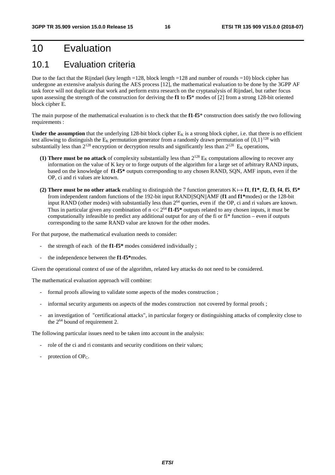# 10 Evaluation

### 10.1 Evaluation criteria

Due to the fact that the Rijndael (key length =128, block length =128 and number of rounds =10) block cipher has undergone an extensive analysis during the AES process [12], the mathematical evaluation to be done by the 3GPP AF task force will not duplicate that work and perform extra research on the cryptanalysis of Rijndael, but rather focus upon assessing the strength of the construction for deriving the **f1** to **f5**\* modes of [2] from a strong 128-bit oriented block cipher E.

The main purpose of the mathematical evaluation is to check that the **f1**-**f5**\* construction does satisfy the two following requirements :

**Under the assumption** that the underlying 128-bit block cipher  $E<sub>K</sub>$  is a strong block cipher, i.e. that there is no efficient test allowing to distinguish the  $E_K$  permutation generator from a randomly drawn permutation of  $\{0,1\}^{128}$  with substantially less than  $2^{128}$  encryption or decryption results and significantly less than  $2^{128}$  E<sub>K</sub> operations,

- **(1) There must be no attack** of complexity substantially less than  $2^{128}$  E<sub>K</sub> computations allowing to recover any information on the value of K key or to forge outputs of the algorithm for a large set of arbitrary RAND inputs, based on the knowledge of **f1**-**f5\*** outputs corresponding to any chosen RAND, SQN, AMF inputs, even if the OP, ci and ri values are known.
- **(2) There must be no other attack** enabling to distinguish the 7 function generators  $K \mapsto f1$ ,  $f1^*$ ,  $f2$ ,  $f3$ ,  $f4$ ,  $f5$ ,  $f5^*$ from independent random functions of the 192-bit input RAND||SQN||AMF (**f1** and **f1\***modes) or the 128-bit input RAND (other modes) with substantially less than 264 queries, even if the OP, ci and ri values are known. Thus in particular given any combination of  $n \ll 2^{64}$  **f1-f5\*** outputs related to any chosen inputs, it must be computationally infeasible to predict any additional output for any of the fi or fi\* function – even if outputs corresponding to the same RAND value are known for the other modes.

For that purpose, the mathematical evaluation needs to consider:

- the strength of each of the **f1**-**f5\*** modes considered individually ;
- the independence between the **f1**-**f5\***modes.

Given the operational context of use of the algorithm, related key attacks do not need to be considered.

The mathematical evaluation approach will combine:

- formal proofs allowing to validate some aspects of the modes construction ;
- informal security arguments on aspects of the modes construction not covered by formal proofs;
- an investigation of "certificational attacks", in particular forgery or distinguishing attacks of complexity close to the  $2^{64}$  bound of requirement 2.

The following particular issues need to be taken into account in the analysis:

- role of the ci and ri constants and security conditions on their values;
- protection of  $OP<sub>C</sub>$ .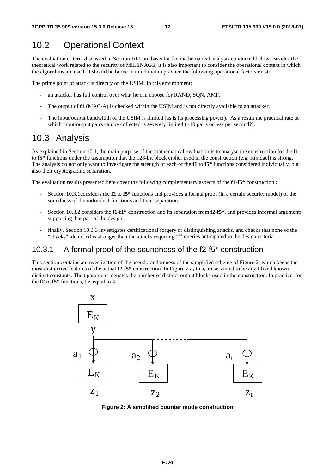### 10.2 Operational Context

The evaluation criteria discussed in Section 10.1 are basis for the mathematical analysis conducted below. Besides the theoretical work related to the security of MILENAGE, it is also important to consider the operational context in which the algorithms are used. It should be borne in mind that in practice the following operational factors exist:

The prime point of attack is directly on the USIM. In this environment:

- an attacker has full control over what he can choose for RAND, SQN, AMF.
- The output of **f1** (MAC-A) is checked within the USIM and is not directly available to an attacker.
- The input/output bandwidth of the USIM is limited (as is its processing power). As a result the practical rate at which input/output pairs can be collected is severely limited  $(\sim 10$  pairs or less per second?).

### 10.3 Analysis

As explained in Section 10.1, the main purpose of the mathematical evaluation is to analyse the construction for the **f1** to **f5\*** functions under the assumption that the 128-bit block cipher used in the construction (e.g. Rijndael) is strong. The analysis do not only want to investigate the strength of each of the **f1** to **f5\*** functions considered individually, but also their cryptographic separation.

The evaluation results presented here cover the following complementary aspects of the **f1**-**f5\*** construction :

- Section 10.3.1considers the **f2** to **f5\*** functions and provides a formal proof (in a certain security model) of the soundness of the individual functions and their separation;
- Section 10.3.2 considers the **f1**-**f1\*** construction and its separation from **f2**-**f5\***, and provides informal arguments supporting that part of the design;
- finally, Section 10.3.3 investigates certificational forgery or distinguishing attacks, and checks that none of the "attacks" identified is stronger than the attacks requiring 2<sup>64</sup> queries anticipated in the design criteria.

### 10.3.1 A formal proof of the soundness of the f2-f5\* construction

This section contains an investigation of the pseudorandomness of the simplified scheme of Figure 2, which keeps the most distinctive features of the actual **f2-f5**\* construction. In Figure 2  $a_1$  to  $a_t$  are assumed to be any t fixed known distinct constants. The t parameter denotes the number of distinct output blocks used in the construction. In practice, for the **f2** to **f5**\* functions, t is equal to 4.



**Figure 2: A simplified counter mode construction**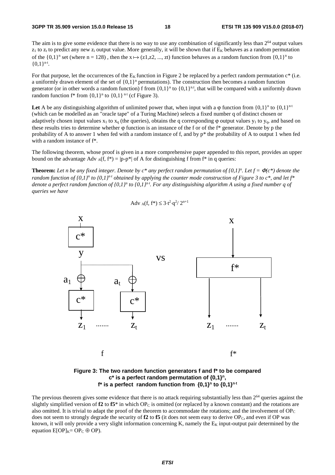The aim is to give some evidence that there is no way to use any combination of significantly less than  $2<sup>64</sup>$  output values  $z_1$  to  $z_t$  to predict any new  $z_i$  output value. More generally, it will be shown that if  $E_K$  behaves as a random permutation of the  $\{0,1\}^n$  set (where n = 128), then the  $x \mapsto (z1, z2, ..., zt)$  function behaves as a random function from  $\{0,1\}^n$  to  $I(0,1)^n$ .  ${0,1}^{\text{n-t}}.$ 

For that purpose, let the occurrences of the  $E<sub>K</sub>$  function in Figure 2 be replaced by a perfect random permutation  $c^*$  (i.e. a uniformly drawn element of the set of  $\{0,1\}^n$  permutations). The construction then becomes a random function generator (or in other words a random function) f from  $\{0,1\}^n$  to  $\{0,1\}^{n}$ , that will be compared with a uniformly drawn random function  $f^*$  from  $\{0,1\}^n$  to  $\{0,1\}^{n \cdot t}$  (cf Figure 3).

Let A be any distinguishing algorithm of unlimited power that, when input with a  $\varphi$  function from  $\{0,1\}^n$  to  $\{0,1\}^n$ <sup>t</sup> (which can be modelled as an "oracle tape" of a Turing Machine) selects a fixed number q of distinct chosen or adaptively chosen input values  $x_1$  to  $x_q$  (the queries), obtains the q corresponding  $\varphi$  output values  $y_1$  to  $y_q$ , and based on these results tries to determine whether  $\varphi$  function is an instance of the f or of the f\* generator. Denote by p the probability of A to answer 1 when fed with a random instance of f, and by  $p^*$  the probability of A to output 1 when fed with a random instance of f\*.

The following theorem, whose proof is given in a more comprehensive paper appended to this report, provides an upper bound on the advantage Adv  $_A(f, f^*) = |p-p^*|$  of A for distinguishing f from  $f^*$  in q queries:

**Theorem:** Let n be any fixed integer. Denote by  $c^*$  any perfect random permutation of  $\{0,1\}^n$ . Let  $f = \Phi(c^*)$  denote the *random function of {0,1}<sup>n</sup> to {0,1}<sup>n+</sup> obtained by applying the counter mode construction of Figure 3 to c\*, and let f\* denote a perfect random function of {0,1}<sup>n</sup> to {0,1}<sup>n+</sup>. For any distinguishing algorithm A using a fixed number q of queries we have* 

$$
Adv_A(f, f^*) \le 3 \cdot t^2 \cdot q^2 / 2^{n+1}
$$



#### **Figure 3: The two random function generators f and f\* to be compared**  c<sup>\*</sup> is a perfect random permutation of  ${0,1}^n$ , **f\*** is a perfect random function from  $\{0,1\}^n$  to  $\{0,1\}^{n \cdot t}$

The previous theorem gives some evidence that there is no attack requiring substantially less than  $2^{64}$  queries against the slightly simplified version of  $f2$  to  $f5^*$  in which OP<sub>C</sub> is omitted (or replaced by a known constant) and the rotations are also omitted. It is trivial to adapt the proof of the theorem to accommodate the rotations; and the involvement of  $OP<sub>C</sub>$ does not seem to strongly degrade the security of  $f2$  to  $f5$  (it does not seem easy to derive  $OP_C$ , and even if OP was known, it will only provide a very slight information concerning K, namely the  $E<sub>K</sub>$  input-output pair determined by the equation  $E[OP]_{K} = OP_C \oplus OP$ .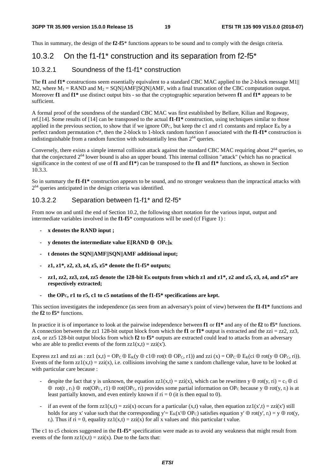Thus in summary, the design of the **f2**-**f5**\* functions appears to be sound and to comply with the design criteria.

### 10.3.2 On the f1-f1\* construction and its separation from f2-f5\*

#### 10.3.2.1 Soundness of the f1-f1\* construction

The **f1** and **f1\*** constructions seem essentially equivalent to a standard CBC MAC applied to the 2-block message M1|| M2, where  $M_1 = RAND$  and  $M_2 = SQN||AMF||SQN||AMF$ , with a final truncation of the CBC computation output. Moreover **f1** and **f1\*** use distinct output bits - so that the cryptographic separation between **f1** and **f1\*** appears to be sufficient.

A formal proof of the soundness of the standard CBC MAC was first established by Bellare, Kilian and Rogaway, ref.[14]. Some results of [14] can be transposed to the actual **f1**-**f1\*** construction, using techniques similar to those applied in the previous section, to show that if we ignore OP<sub>C</sub>, but keep the c1 and r1 constants and replace  $E_K$  by a perfect random permutation c\*, then the 2-block to 1-block random function f associated with the **f1**-**f1\*** construction is indistinguishable from a random function with substantially less than  $2<sup>64</sup>$  queries.

Conversely, there exists a simple internal collision attack against the standard CBC MAC requiring about  $2^{64}$  queries, so that the conjectured  $2^{64}$  lower bound is also an upper bound. This internal collision "attack" (which has no practical significance in the context of use of **f1** and **f1\***) can be transposed to the **f1** and **f1\*** functions, as shown in Section 10.3.3.

So in summary the **f1**-**f1\*** construction appears to be sound, and no stronger weakness than the impractical attacks with 264 queries anticipated in the design criteria was identified.

#### 10.3.2.2 Separation between f1-f1\* and f2-f5\*

From now on and until the end of Section 10.2, the following short notation for the various input, output and intermediate variables involved in the **f1**-**f5**\* computations will be used (cf Figure 1) :

- **x denotes the RAND input ;**
- **y denotes the intermediate value E[RAND** ⊕ **OPC]K**
- **t denotes the SQN||AMF||SQN||AMF additional input;**
- **z1, z1\*, z2, z3, z4, z5, z5\* denote the f1-f5\* outputs;**
- **zz1, zz2, zz3, zz4, zz5 denote the 128-bit EK outputs from which z1 and z1\*, z2 and z5, z3, z4, and z5\* are respectively extracted;**
- **the OPC, r1 to r5, c1 to c5 notations of the f1-f5\* specifications are kept.**

This section investigates the independence (as seen from an adversary's point of view) between the **f1**-**f1\*** functions and the **f2** to **f5**\* functions.

In practice it is of importance to look at the pairwise independence between **f1** or **f1\*** and any of the **f2** to **f5**\* functions. A connection between the zz1 128-bit output block from which the **f1** or  $f1^*$  output is extracted and the zzi = zz2, zz3, zz4, or zz5 128-bit output blocks from which **f2** to **f5**\* outputs are extracted could lead to attacks from an adversary who are able to predict events of the form  $zz1(x,t) = zzi(x')$ .

Express zz1 and zzi as : zz1  $(x,t) = OP_C \oplus E_K(y \oplus c1 \oplus rot(t \oplus OP_C, r1))$  and zzi  $(x) = OP_C \oplus E_K(ci \oplus rot(y \oplus OP_C, ri)).$ Events of the form  $zz1(x,t) = zzi(x)$ , i.e. collisions involving the same x random challenge value, have to be looked at with particular care because :

- despite the fact that y is unknown, the equation zz1(x,t) = zzi(x), which can be rewritten  $y \oplus \text{rot}(y, r_i) = c_1 \oplus ci$  $\oplus$  rot(t, r<sub>1</sub>)  $\oplus$  rot(OP<sub>C</sub>, r1)  $\oplus$  rot(OP<sub>C</sub>, ri) provides some partial information on OP<sub>C</sub> because y  $\oplus$  rot(y, r<sub>i</sub>) is at least partially known, and even entirely known if  $ri = 0$  (it is then equal to 0).
- if an event of the form  $zz1(x,t) = zzi(x)$  occurs for a particular  $(x,t)$  value, then equation  $zz1(x',t) = zzi(x')$  still holds for any x' value such that the corresponding y'=  $E_K(x' \oplus OP_C)$  satisfies equation y'  $\oplus$  rot(y', r<sub>i</sub>) = y  $\oplus$  rot(y,  $r_i$ ). Thus if  $ri = 0$ , equality  $zz1(x,t) = zzi(x)$  for all x values and this particular t value.

The c1 to c5 choices suggested in the **f1**-**f5**\* specification were made as to avoid any weakness that might result from events of the form  $zz1(x,t) = zzi(x)$ . Due to the facts that: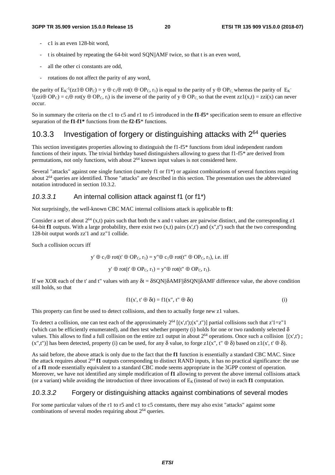- c1 is an even 128-bit word,
- t is obtained by repeating the 64-bit word SQN||AMF twice, so that t is an even word,
- all the other ci constants are odd.
- rotations do not affect the parity of any word,

the parity of  $E_K^{-1}(zz1\oplus OP_C) = y \oplus c_1\oplus \text{rot}(t \oplus OP_C, r_1)$  is equal to the parity of  $y \oplus OP_C$ , whereas the parity of  $E_K^{-1}(zz1\oplus OP_C)$  $(2\pi i \oplus \text{OP}_C) = c_i \oplus \text{rot}(y \oplus \text{OP}_C, r_i)$  is the inverse of the parity of  $y \oplus \text{OP}_C$ , so that the event  $zz1(x,t) = zzi(x)$  can never occur.

So in summary the criteria on the c1 to c5 and r1 to r5 introduced in the **f1**-**f5**\* specification seem to ensure an effective separation of the **f1**-**f1\*** functions from the **f2**-**f5**\* functions.

### 10.3.3 Investigation of forgery or distinguishing attacks with  $2^{64}$  queries

This section investigates properties allowing to distinguish the f1-f5\* functions from ideal independent random functions of their inputs. The trivial birthday based distinguishers allowing to guess that f1-f5\* are derived from permutations, not only functions, with about  $2^{64}$  known input values is not considered here.

Several "attacks" against one single function (namely f1 or f1\*) or against combinations of several functions requiring about 264 queries are identified. Those "attacks" are described in this section. The presentation uses the abbreviated notation introduced in section 10.3.2.

#### *10.3.3.1* An internal collision attack against f1 (or f1\*)

Not surprisingly, the well-known CBC MAC internal collisions attack is applicable to **f1**:

Consider a set of about  $2^{64}$  (x,t) pairs such that both the x and t values are pairwise distinct, and the corresponding z1 64-bit **f1** outputs. With a large probability, there exist two  $(x,t)$  pairs  $(x',t')$  and  $(x'',t'')$  such that the two corresponding 128-bit output words zz'1 and zz"1 collide.

Such a collision occurs iff

 $v' \oplus c_1 \oplus \text{rot}(t' \oplus \text{OP}_C, r_1) = v'' \oplus c_1 \oplus \text{rot}(t'' \oplus \text{OP}_C, r_1)$ , i.e. iff

 $y' \oplus rot(t' \oplus OP_C, r_1) = y'' \oplus rot(t'' \oplus OP_C, r_1).$ 

If we XOR each of the t' and t" values with any  $δt = δSQN||δAMF||δSQN||δAMF$  difference value, the above condition still holds, so that

$$
f1(x', t' \oplus \delta t) = f1(x'', t'' \oplus \delta t)
$$
 (i)

This property can first be used to detect collisions, and then to actually forge new z1 values.

To detect a collision, one can test each of the approximately  $2^{64}$  [(x',t');(x",t")] partial collisions such that  $z'1=z''1$ (which can be efficiently enumerated), and then test whether property (i) holds for one or two randomly selected  $\delta$ values. This allows to find a full collision on the entire zz1 output in about  $2^{64}$  operations. Once such a collision  $[(x',t')]$ ;  $(x$ ",t")] has been detected, property (i) can be used, for any  $\delta$  value, to forge z1(x", t"  $\oplus$   $\delta$ ) based on z1(x', t'  $\oplus$   $\delta$ ).

As said before, the above attack is only due to the fact that the **f1** function is essentially a standard CBC MAC. Since the attack requires about 264 **f1** outputs corresponding to distinct RAND inputs, it has no practical significance: the use of a **f1** mode essentially equivalent to a standard CBC mode seems appropriate in the 3GPP context of operation. Moreover, we have not identified any simple modification of **f1** allowing to prevent the above internal collisions attack (or a variant) while avoiding the introduction of three invocations of  $E<sub>K</sub>$  (instead of two) in each **f1** computation.

#### *10.3.3.2* Forgery or distinguishing attacks against combinations of several modes

For some particular values of the r1 to r5 and c1 to c5 constants, there may also exist "attacks" against some combinations of several modes requiring about  $2^{64}$  queries.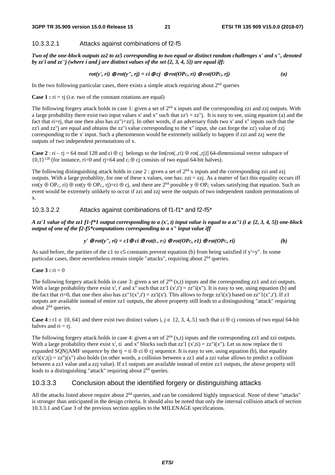#### 10.3.3.2.1 Attacks against combinations of f2-f5

*Two of the one-block outputs zz2 to zz5 corresponding to two equal or distinct random challenges x' and x", denoted by zz'i and zz''j (where i and j are distinct values of the set {2, 3, 4, 5}) are equal iff:* 

$$
rot(y', ri) \bigoplus rot(y'', rj) = ci \bigoplus cj \bigoplus rot(OP_C, ri) \bigoplus rot(OP_C, rj)
$$
 (a)

In the two following particular cases, there exists a simple attack requiring about  $2<sup>64</sup>$  queries

**Case 1 :**  $ri = rj$  (i.e. two of the constant rotations are equal)

The following forgery attack holds in case 1: given a set of  $2^{64}$  x inputs and the corresponding zzi and zzj outputs. With a large probability there exist two input values x' and x" such that  $zz'i = zz''$ . It is easy to see, using equation (a) and the fact that ri=rj, that one then also has zz"i=zz'j. In other words, if an adversary finds two x' and x" inputs such that the zz'i and zz"j are equal and obtains the zz"i value corresponding to the x'' input, she can forge the zz'j value of zzj corresponding to the x' input. Such a phenomenon would be extremely unlikely to happen if zzi and zzj were the outputs of two independent permutations of x.

**Case 2** : ri – rj = 64 mod 128 and ci  $\oplus$  cj belongs to the Im[rot(.,ri)  $\oplus$  rot(.,rj)] 64-dimensional vector subspace of  ${0.1}^{128}$  (for instance, ri=0 and ri=64 and c<sub>i</sub> ⊕ cj consists of two equal 64-bit halves).

The following distinguishing attack holds in case 2 : given a set of  $2^{64}$  x inputs and the corresponding zzi and zzj outputs. With a large probablity, for one of these x values, one has:  $zzi = zzi$ . As a matter of fact this equality occurs iff rot(y ⊕ OP<sub>C</sub>, ri) ⊕ rot(y ⊕ OP<sub>C</sub>, rj)=ci ⊕ cj, and there are 2<sup>64</sup> possible y ⊕ OP<sub>C</sub> values satisfying that equation. Such an event would be extremely unlikely to occur if zzi and zzj were the outputs of two independent random permutations of x.

#### 10.3.3.2.2 Attacks against combinations of f1-f1\* and f2-f5\*

*A zz'1 value of the zz1 f1-f\*1 output corresponding to a*  $(x', t)$  *input value is equal to a zz''i (i ∈ {2, 3, 4, 5}) one-block output of one of the f2-f5\*computations corresponding to a x" input value iff* 

$$
y' \bigoplus rot(y'', r\mathbf{i}) = c1 \bigoplus ci \bigoplus rot(t, r_1) \bigoplus rot(OP_C, r1) \bigoplus rot(OP_C, r\mathbf{i})
$$
 (b)

As said before, the parities of the c1 to c5 constants prevent equation (b) from being satisfied if  $y'=y''$ . In some particular cases, there nevertheless remain simple "attacks", requiring about  $2^{64}$  queries.

#### **Case 3 :**  $ri = 0$

The following forgery attack holds in case 3: given a set of  $2^{64}$  (x,t) inputs and the corresponding zz1 and zzi outputs. With a large probability there exist x', t' and x'' such that zz'1 (x',t') =  $\overline{zz}$ ''i(x''). It is easy to see, using equation (b) and the fact that ri=0, that one then also has zz" $1(x",t') = zz$ ; (x'). This allows to forge zz'i(x') based on zz" $1(x",t')$ . If z1 outputs are available instead of entire zz1 outputs, the above property still leads to a distinguishing "attack" requiring about  $2^{64}$  queries.

**Case 4 :** r1 ∈ {0, 64} and there exist two distinct values i,  $i \in \{2, 3, 4, .5\}$  such that ci ⊕ ci consists of two equal 64-bit halves and  $ri = rj$ .

The following forgery attack holds in case 4: given a set of  $2^{64}$  (x,t) inputs and the corresponding zz1 and zzi outputs. With a large probability there exist x', ti and x'' blocks such that zz'1 (x',ti) = zz"i(x''). Let us now replace the ti expanded SQN||AMF sequence by the tj = ti  $\oplus$  ci  $\oplus$  cj sequence. It is easy to see, using equation (b), that equality  $zz'i(x',t) = zz''j(x'')$  also holds (in other words, a collision between a zz1 and a zzi value allows to predict a collision between a zz1 value and a zzj value). If z1 outputs are available instead of entire zz1 outputs, the above property still leads to a distinguishing "attack" requiring about  $2^{64}$  queries.

#### 10.3.3.3 Conclusion about the identified forgery or distinguishing attacks

All the attacks listed above require about  $2^{64}$  queries, and can be considered highly impractical. None of these "attacks" is stronger than anticipated in the design criteria. It should also be noted that only the internal collision attack of section 10.3.3.1 and Case 3 of the previous section applies to the MILENAGE specifications.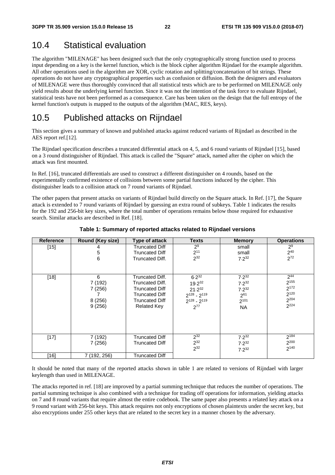### 10.4 Statistical evaluation

The algorithm "MILENAGE" has been designed such that the only cryptographically strong function used to process input depending on a key is the kernel function, which is the block cipher algorithm Rijndael for the example algorithm. All other operations used in the algorithm are XOR, cyclic rotation and splitting/concatenation of bit strings. These operations do not have any cryptographical properties such as confusion or diffusion. Both the designers and evaluators of MILENAGE were thus thoroughly convinced that all statistical tests which are to be performed on MILENAGE only yield results about the underlying kernel function. Since it was not the intention of the task force to evaluate Rijndael, statistical tests have not been performed as a consequence. Care has been taken on the design that the full entropy of the kernel function's outputs is mapped to the outputs of the algorithm (MAC, RES, keys).

### 10.5 Published attacks on Rijndael

This section gives a summary of known and published attacks against reduced variants of Rijndael as described in the AES report ref.[12].

The Rijndael specification describes a truncated differential attack on 4, 5, and 6 round variants of Rijndael [15], based on a 3 round distinguisher of Rijndael. This attack is called the "Square" attack, named after the cipher on which the attack was first mounted.

In Ref. [16], truncated differentials are used to construct a different distinguisher on 4 rounds, based on the experimentally confirmed existence of collisions between some partial functions induced by the cipher. This distinguisher leads to a collision attack on 7 round variants of Rijndael.

The other papers that present attacks on variants of Rijndael build directly on the Square attack. In Ref. [17], the Square attack is extended to 7 round variants of Rijndael by guessing an extra round of subkeys. Table 1 indicates the results for the 192 and 256-bit key sizes, where the total number of operations remains below those required for exhaustive search. Similar attacks are described in Ref. [18].

| <b>Reference</b> | Round (Key size)                           | Type of attack                                             | <b>Texts</b>                                                                                  | <b>Memory</b>                                                           | <b>Operations</b>                                     |  |
|------------------|--------------------------------------------|------------------------------------------------------------|-----------------------------------------------------------------------------------------------|-------------------------------------------------------------------------|-------------------------------------------------------|--|
| $[15]$           | 4<br>5<br>6                                | Truncated Diff<br><b>Truncated Diff</b><br>Truncated Diff. | 2 <sup>9</sup><br>$2^{11}$<br>$2^{32}$                                                        | small<br>small<br>$7.2^{32}$                                            | 2 <sup>9</sup><br>$2^{40}$<br>$2^{72}$                |  |
| $[18]$           | 6<br>7 (192)<br>7(256)<br>8(256)<br>9(256) |                                                            | $6.2^{32}$<br>19.232<br>$21.2^{32}$<br>$2^{128} - 2^{119}$<br>$2^{128} - 2^{119}$<br>$2^{77}$ | $7.2^{32}$<br>$7.2^{32}$<br>$7.2^{32}$<br>$2^{61}$<br>2101<br><b>NA</b> | $2^{44}$<br>$2^{155}$<br>2172<br>2120<br>2204<br>2224 |  |
| $[17]$           | 7 (192)<br>7(256)                          | <b>Truncated Diff</b><br><b>Truncated Diff</b>             | $2^{32}$<br>$2^{32}$<br>$2^{32}$                                                              | $7.2^{32}$<br>$7.2^{32}$<br>$7.2^{32}$                                  | 2184<br>2200<br>2140                                  |  |
| [16]             | 7 (192, 256)                               | Truncated Diff                                             |                                                                                               |                                                                         |                                                       |  |

#### **Table 1: Summary of reported attacks related to Rijndael versions**

It should be noted that many of the reported attacks shown in table 1 are related to versions of Rijndael with larger keylength than used in MILENAGE.

The attacks reported in ref. [18] are improved by a partial summing technique that reduces the number of operations. The partial summing technique is also combined with a technique for trading off operations for information, yielding attacks on 7 and 8 round variants that require almost the entire codebook. The same paper also presents a related key attack on a 9 round variant with 256-bit keys. This attack requires not only encryptions of chosen plaintexts under the secret key, but also encryptions under 255 other keys that are related to the secret key in a manner chosen by the adversary.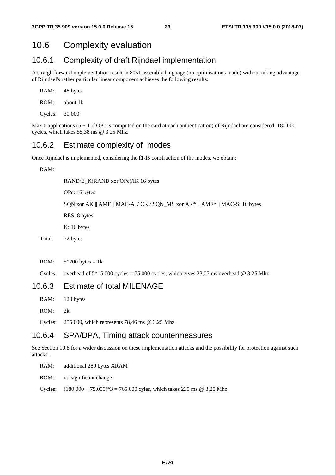### 10.6 Complexity evaluation

#### 10.6.1 Complexity of draft Rijndael implementation

A straightforward implementation result in 8051 assembly language (no optimisations made) without taking advantage of Rijndael's rather particular linear component achieves the following results:

| RAM:    | 48 bytes             |
|---------|----------------------|
| ROM:    | about 1 <sub>k</sub> |
| Cycles: | 30.000               |

Max 6 applications  $(5 + 1)$  if OPc is computed on the card at each authentication) of Rijndael are considered: 180.000 cycles, which takes 55,38 ms @ 3.25 Mhz.

### 10.6.2 Estimate complexity of modes

Once Rijndael is implemented, considering the **f1**-**f5** construction of the modes, we obtain:

RAM:

RAND/E\_K(RAND xor OPc)/IK 16 bytes

OPc: 16 bytes

SQN xor AK || AMF || MAC-A / CK / SQN\_MS xor AK\* || AMF\* || MAC-S: 16 bytes

RES: 8 bytes

K: 16 bytes

Total: 72 bytes

ROM:  $5*200$  bytes = 1k

Cycles: overhead of  $5*15.000$  cycles = 75.000 cycles, which gives 23,07 ms overhead @ 3.25 Mhz.

#### 10.6.3 Estimate of total MILENAGE

RAM: 120 bytes

ROM: 2k

Cycles: 255.000, which represents 78,46 ms @ 3.25 Mhz.

### 10.6.4 SPA/DPA, Timing attack countermeasures

See Section 10.8 for a wider discussion on these implementation attacks and the possibility for protection against such attacks.

RAM: additional 280 bytes XRAM

ROM: no significant change

Cycles:  $(180.000 + 75.000)^*$  = 765.000 cyles, which takes 235 ms @ 3.25 Mhz.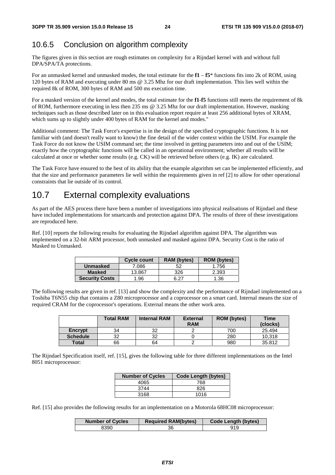### 10.6.5 Conclusion on algorithm complexity

The figures given in this section are rough estimates on complexity for a Rijndael kernel with and without full DPA/SPA/TA protections.

For an unmasked kernel and unmasked modes, the total estimate for the **f1** – **f5**\* functions fits into 2k of ROM, using 120 bytes of RAM and executing under 80 ms @ 3.25 Mhz for our draft implementation. This lies well within the required 8k of ROM, 300 bytes of RAM and 500 ms execution time.

For a masked version of the kernel and modes, the total estimate for the **f1**-**f5** functions still meets the requirement of 8k of ROM, furthermore executing in less then 235 ms @ 3.25 Mhz for our draft implementation. However, masking techniques such as those described later on in this evaluation report require at least 256 additional bytes of XRAM, which sums up to slightly under 400 bytes of RAM for the kernel and modes."

Additional comment: The Task Force's expertise is in the design of the specified cryptographic functions. It is not familiar with (and doesn't really want to know) the fine detail of the wider context within the USIM. For example the Task Force do not know the USIM command set; the time involved in getting parameters into and out of the USIM; exactly how the cryptographic functions will be called in an operational environment; whether all results will be calculated at once or whether some results (e.g. CK) will be retrieved before others (e.g. IK) are calculated.

The Task Force have ensured to the best of its ability that the example algorithm set can be implemented efficiently, and that the size and performance parameters lie well within the requirements given in ref [2] to allow for other operational constraints that lie outside of its control.

# 10.7 External complexity evaluations

As part of the AES process there have been a number of investigations into physical realisations of Rijndael and these have included implementations for smartcards and protection against DPA. The results of three of these investigations are reproduced here.

Ref. [10] reports the following results for evaluating the Rijndael algorithm against DPA. The algorithm was implemented on a 32-bit ARM processor, both unmasked and masked against DPA. Security Cost is the ratio of Masked to Unmasked.

|                       | <b>Cycle count</b> | <b>RAM</b> (bytes) | <b>ROM</b> (bytes) |
|-----------------------|--------------------|--------------------|--------------------|
| Unmasked              | 7.086              |                    | 1.756              |
| <b>Masked</b>         | 13.867             | 326                | 2.393              |
| <b>Security Costs</b> | .96                | R 77               | 1.36               |

The following results are given in ref. [13] and show the complexity and the performance of Rijndael implemented on a Toshiba T6N55 chip that contains a Z80 microprocessor and a coprocessor on a smart card. Internal means the size of required CRAM for the coprocessor's operations. External means the other work area.

|                 | <b>Total RAM</b> | <b>Internal RAM</b> | <b>External</b><br><b>RAM</b> | <b>ROM</b> (bytes) | <b>Time</b><br>(clocks) |
|-----------------|------------------|---------------------|-------------------------------|--------------------|-------------------------|
| Encrypt         | 34               | 32                  |                               | 700                | 25.494                  |
| <b>Schedule</b> | 32               | 32                  |                               | 280                | 10.318                  |
| <b>Total</b>    | 66               | 64                  |                               | 980                | 35.812                  |

The Rijndael Specification itself, ref. [15], gives the following table for three different implementations on the Intel 8051 microprocessor:

| <b>Number of Cycles</b> | <b>Code Length (bytes)</b> |
|-------------------------|----------------------------|
| 4065                    | 768                        |
| 3744                    | 826                        |
| 3168                    | 1016                       |

Ref. [15] also provides the following results for an implementation on a Motorola 68HC08 microprocessor:

| <b>Number of Cycles</b> | <b>Required RAM(bytes)</b> | Code Length (bytes) |
|-------------------------|----------------------------|---------------------|
| 8390                    |                            | 919                 |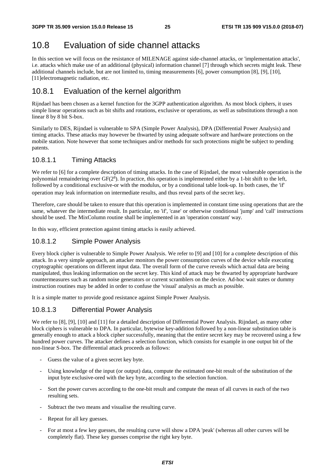# 10.8 Evaluation of side channel attacks

In this section we will focus on the resistance of MILENAGE against side-channel attacks, or 'implementation attacks', i.e. attacks which make use of an additional (physical) information channel [7] through which secrets might leak. These additional channels include, but are not limited to, timing measurements [6], power consumption [8], [9], [10], [11]electromagnetic radiation, etc.

# 10.8.1 Evaluation of the kernel algorithm

Rijndael has been chosen as a kernel function for the 3GPP authentication algorithm. As most block ciphers, it uses simple linear operations such as bit shifts and rotations, exclusive or operations, as well as substitutions through a non linear 8 by 8 bit S-box.

Similarly to DES, Rijndael is vulnerable to SPA (Simple Power Analysis), DPA (Differential Power Analysis) and timing attacks. These attacks may however be thwarted by using adequate software and hardware protections on the mobile station. Note however that some techniques and/or methods for such protections might be subject to pending patents.

### 10.8.1.1 Timing Attacks

We refer to [6] for a complete description of timing attacks. In the case of Rijndael, the most vulnerable operation is the polynomial remaindering over GF(2<sup>8</sup>). In practice, this operation is implemented either by a 1-bit shift to the left, followed by a conditional exclusive-or with the modulus, or by a conditional table look-up. In both cases, the 'if' operation may leak information on intermediate results, and thus reveal parts of the secret key.

Therefore, care should be taken to ensure that this operation is implemented in constant time using operations that are the same, whatever the intermediate result. In particular, no 'if', 'case' or otherwise conditional 'jump' and 'call' instructions should be used. The MixColumn routine shall be implemented in an 'operation constant' way.

In this way, efficient protection against timing attacks is easily achieved.

### 10.8.1.2 Simple Power Analysis

Every block cipher is vulnerable to Simple Power Analysis. We refer to [9] and [10] for a complete description of this attack. In a very simple approach, an attacker monitors the power consumption curves of the device while executing cryptographic operations on different input data. The overall form of the curve reveals which actual data are being manipulated, thus leaking information on the secret key. This kind of attack may be thwarted by appropriate hardware countermeasures such as random noise generators or current scramblers on the device. Ad-hoc wait states or dummy instruction routines may be added in order to confuse the 'visual' analysis as much as possible.

It is a simple matter to provide good resistance against Simple Power Analysis.

### 10.8.1.3 Differential Power Analysis

We refer to [8], [9], [10] and [11] for a detailed description of Differential Power Analysis. Rijndael, as many other block ciphers is vulnerable to DPA. In particular, bytewise key-addition followed by a non-linear substitution table is generally enough to attack a block cipher successfully, meaning that the entire secret key may be recovered using a few hundred power curves. The attacker defines a selection function, which consists for example in one output bit of the non-linear S-box. The differential attack proceeds as follows:

- Guess the value of a given secret key byte.
- Using knowledge of the input (or output) data, compute the estimated one-bit result of the substitution of the input byte exclusive-ored with the key byte, according to the selection function.
- Sort the power curves according to the one-bit result and compute the mean of all curves in each of the two resulting sets.
- Subtract the two means and visualise the resulting curve.
- Repeat for all key guesses.
- For at most a few key guesses, the resulting curve will show a DPA 'peak' (whereas all other curves will be completely flat). These key guesses comprise the right key byte.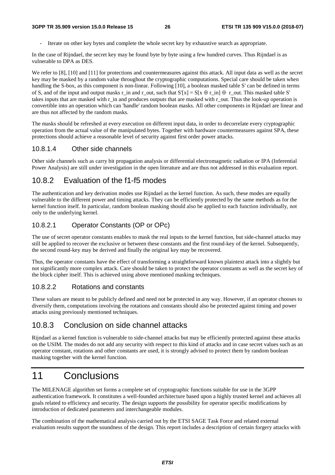- Iterate on other key bytes and complete the whole secret key by exhaustive search as appropriate.

In the case of Rijndael, the secret key may be found byte by byte using a few hundred curves. Thus Rijndael is as vulnerable to DPA as DES.

We refer to [8], [10] and [11] for protections and countermeasures against this attack. All input data as well as the secret key may be masked by a random value throughout the cryptographic computations. Special care should be taken when handling the S-box, as this component is non-linear. Following [10], a boolean masked table S' can be defined in terms of S, and of the input and output masks r\_in and r\_out, such that  $S'[x] = S[x \oplus r_in] \oplus r,out$ . This masked table S' takes inputs that are masked with r\_in and produces outputs that are masked with r\_out. Thus the look-up operation is convertible into an operation which can 'handle' random boolean masks. All other components in Rijndael are linear and are thus not affected by the random masks.

The masks should be refreshed at every execution on different input data, in order to decorrelate every cryptographic operation from the actual value of the manipulated bytes. Together with hardware countermeasures against SPA, these protections should achieve a reasonable level of security against first order power attacks.

#### 10.8.1.4 Other side channels

Other side channels such as carry bit propagation analysis or differential electromagnetic radiation or IPA (Inferential Power Analysis) are still under investigation in the open literature and are thus not addressed in this evaluation report.

#### 10.8.2 Evaluation of the f1-f5 modes

The authentication and key derivation modes use Rijndael as the kernel function. As such, these modes are equally vulnerable to the different power and timing attacks. They can be efficiently protected by the same methods as for the kernel function itself. In particular, random boolean masking should also be applied to each function individually, not only to the underlying kernel.

#### 10.8.2.1 Operator Constants (OP or OPc)

The use of secret operator constants enables to mask the real inputs to the kernel function, but side-channel attacks may still be applied to recover the exclusive or between these constants and the first round-key of the kernel. Subsequently, the second round-key may be derived and finally the original key may be recovered.

Thus, the operator constants have the effect of transforming a straightforward known plaintext attack into a slightly but not significantly more complex attack. Care should be taken to protect the operator constants as well as the secret key of the block cipher itself. This is achieved using above mentioned masking techniques.

#### 10.8.2.2 Rotations and constants

These values are meant to be publicly defined and need not be protected in any way. However, if an operator chooses to diversify them, computations involving the rotations and constants should also be protected against timing and power attacks using previously mentioned techniques.

### 10.8.3 Conclusion on side channel attacks

Rijndael as a kernel function is vulnerable to side-channel attacks but may be efficiently protected against these attacks on the USIM. The modes do not add any security with respect to this kind of attacks and in case secret values such as an operator constant, rotations and other constants are used, it is strongly advised to protect them by random boolean masking together with the kernel function.

# 11 Conclusions

The MILENAGE algorithm set forms a complete set of cryptographic functions suitable for use in the 3GPP authentication framework. It constitutes a well-founded architecture based upon a highly trusted kernel and achieves all goals related to efficiency and security. The design supports the possibility for operator specific modifications by introduction of dedicated parameters and interchangeable modules.

The combination of the mathematical analysis carried out by the ETSI SAGE Task Force and related external evaluation results support the soundness of the design. This report includes a description of certain forgery attacks with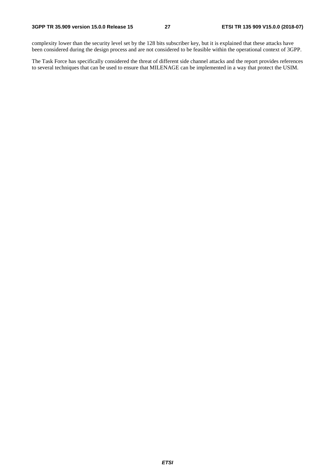complexity lower than the security level set by the 128 bits subscriber key, but it is explained that these attacks have been considered during the design process and are not considered to be feasible within the operational context of 3GPP.

The Task Force has specifically considered the threat of different side channel attacks and the report provides references to several techniques that can be used to ensure that MILENAGE can be implemented in a way that protect the USIM.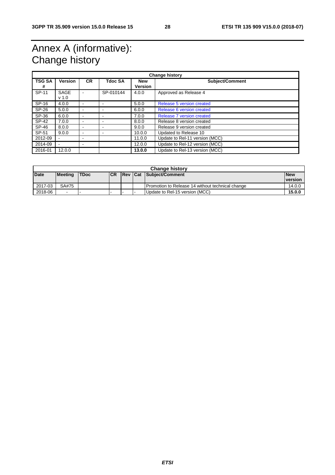# Annex A (informative): Change history

| <b>Change history</b> |                                 |                |           |                              |                                |  |
|-----------------------|---------------------------------|----------------|-----------|------------------------------|--------------------------------|--|
| <b>TSG SA</b><br>#    | <b>Version</b>                  | <b>CR</b>      | Tdoc SA   | <b>New</b><br><b>Version</b> | <b>Subject/Comment</b>         |  |
| SP-11                 | <b>SAGE</b><br>v <sub>1.0</sub> | ۰              | SP-010144 | 4.0.0                        | Approved as Release 4          |  |
| SP-16                 | 4.0.0                           | ۰              |           | 5.0.0                        | Release 5 version created      |  |
| SP-26                 | 5.0.0                           | $\blacksquare$ | -         | 6.0.0                        | Release 6 version created      |  |
| SP-36                 | 6.0.0                           | $\blacksquare$ |           | 7.0.0                        | Release 7 version created      |  |
| SP-42                 | 7.0.0                           | $\blacksquare$ |           | 8.0.0                        | Release 8 version created      |  |
| SP-46                 | 8.0.0                           | $\blacksquare$ |           | 9.0.0                        | Release 9 version created      |  |
| SP-51                 | 9.0.0                           | $\blacksquare$ |           | 10.0.0                       | Updated to Release 10          |  |
| 2012-09               |                                 | -              |           | 11.0.0                       | Update to Rel-11 version (MCC) |  |
| 2014-09               |                                 | -              |           | 12.0.0                       | Update to Rel-12 version (MCC) |  |
| 2016-01               | 12.0.0                          |                |           | 13.0.0                       | Update to Rel-13 version (MCC) |  |

| <b>Change history</b> |         |             |            |  |  |                                                  |                |
|-----------------------|---------|-------------|------------|--|--|--------------------------------------------------|----------------|
| <b>Date</b>           | Meeting | <b>TDoc</b> | <b>ICR</b> |  |  | Rev Cat Subject/Comment                          | <b>New</b>     |
|                       |         |             |            |  |  |                                                  | <b>version</b> |
| 2017-03               | SA#75   |             |            |  |  | Promotion to Release 14 without technical change | 14.0.0         |
| 2018-06               | $\sim$  |             | -          |  |  | Update to Rel-15 version (MCC)                   | 15.0.0         |